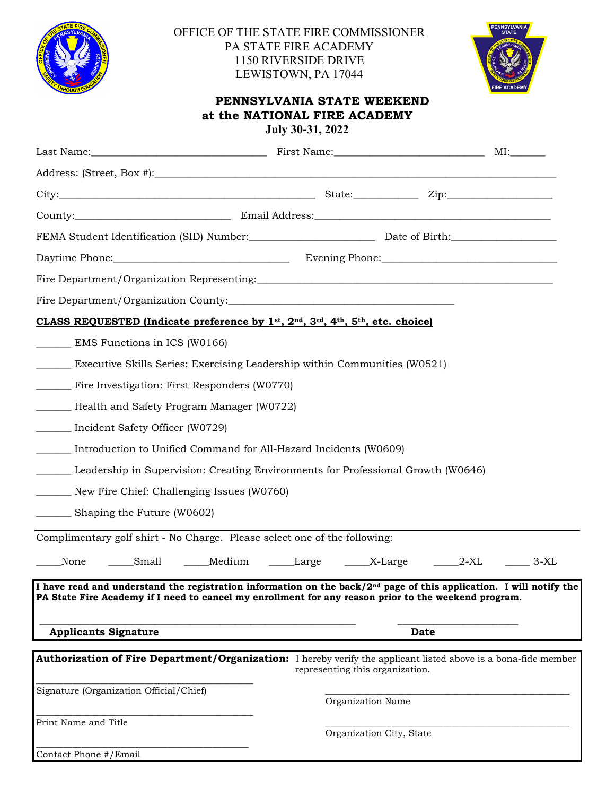

## OFFICE OF THE STATE FIRE COMMISSIONER PA STATE FIRE ACADEMY 1150 RIVERSIDE DRIVE LEWISTOWN, PA 17044



## **PENNSYLVANIA STATE WEEKEND at the NATIONAL FIRE ACADEMY July 30-31, 2022**

| CLASS REQUESTED (Indicate preference by $1^{st}$ , $2^{nd}$ , $3^{rd}$ , $4^{th}$ , $5^{th}$ , etc. choice)                                                                                                                             |                                 |                          |        |
|-----------------------------------------------------------------------------------------------------------------------------------------------------------------------------------------------------------------------------------------|---------------------------------|--------------------------|--------|
| EMS Functions in ICS (W0166)                                                                                                                                                                                                            |                                 |                          |        |
| Executive Skills Series: Exercising Leadership within Communities (W0521)                                                                                                                                                               |                                 |                          |        |
| Fire Investigation: First Responders (W0770)                                                                                                                                                                                            |                                 |                          |        |
| Health and Safety Program Manager (W0722)                                                                                                                                                                                               |                                 |                          |        |
| Incident Safety Officer (W0729)                                                                                                                                                                                                         |                                 |                          |        |
| Introduction to Unified Command for All-Hazard Incidents (W0609)                                                                                                                                                                        |                                 |                          |        |
| Leadership in Supervision: Creating Environments for Professional Growth (W0646)                                                                                                                                                        |                                 |                          |        |
| New Fire Chief: Challenging Issues (W0760)                                                                                                                                                                                              |                                 |                          |        |
| _______ Shaping the Future (W0602)                                                                                                                                                                                                      |                                 |                          |        |
| Complimentary golf shirt - No Charge. Please select one of the following:                                                                                                                                                               |                                 |                          |        |
| None<br>Small<br>_____Medium                                                                                                                                                                                                            | Large ______X-Large ______2-XL  |                          | $3-XL$ |
| I have read and understand the registration information on the back/2 <sup>nd</sup> page of this application. I will notify the<br>PA State Fire Academy if I need to cancel my enrollment for any reason prior to the weekend program. |                                 |                          |        |
| <b>Applicants Signature</b>                                                                                                                                                                                                             |                                 | Date                     |        |
| Authorization of Fire Department/Organization: I hereby verify the applicant listed above is a bona-fide member                                                                                                                         | representing this organization. |                          |        |
| Signature (Organization Official/Chief)                                                                                                                                                                                                 | Organization Name               |                          |        |
| Print Name and Title                                                                                                                                                                                                                    |                                 | Organization City, State |        |
| Contact Phone #/Email                                                                                                                                                                                                                   |                                 |                          |        |